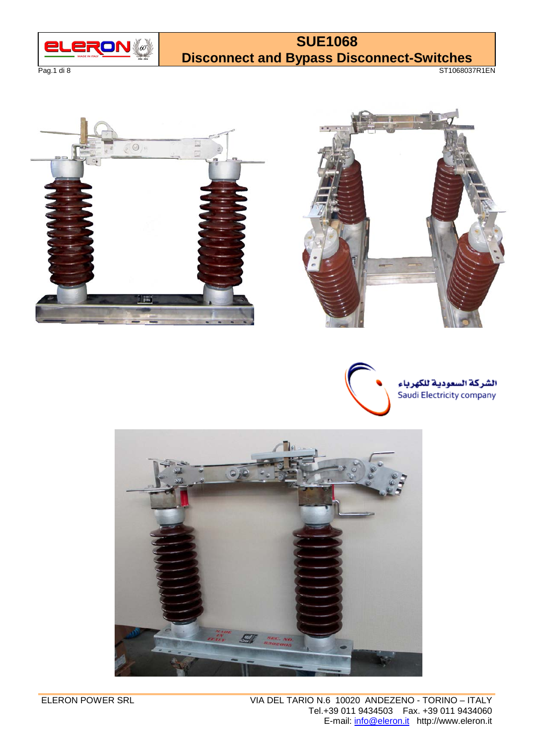

## **SUE1068 Disconnect and Bypass Disconnect-Switches**  Pag.1 di 8 ST1068037R1EN







ELERON POWER SRL VIA DEL TARIO N.6 10020 ANDEZENO - TORINO – ITALY Tel.+39 011 9434503 Fax. +39 011 9434060 E-mail: info@eleron.it http://www.eleron.it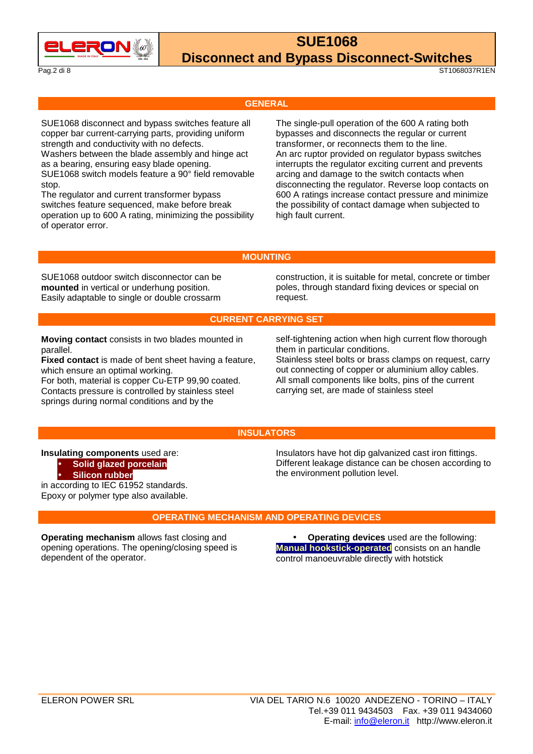

Pag.2 di 8 ST1068037R1EN

#### **GENERAL**

SUE1068 disconnect and bypass switches feature all copper bar current-carrying parts, providing uniform strength and conductivity with no defects.

Washers between the blade assembly and hinge act as a bearing, ensuring easy blade opening.

SUE1068 switch models feature a 90° field removable stop.

The regulator and current transformer bypass switches feature sequenced, make before break operation up to 600 A rating, minimizing the possibility of operator error.

 The single-pull operation of the 600 A rating both bypasses and disconnects the regular or current transformer, or reconnects them to the line. An arc ruptor provided on regulator bypass switches interrupts the regulator exciting current and prevents arcing and damage to the switch contacts when disconnecting the regulator. Reverse loop contacts on 600 A ratings increase contact pressure and minimize the possibility of contact damage when subjected to high fault current.

#### **MOUNTING**

SUE1068 outdoor switch disconnector can be **mounted** in vertical or underhung position. Easily adaptable to single or double crossarm

 construction, it is suitable for metal, concrete or timber poles, through standard fixing devices or special on request.

#### **CURRENT CARRYING SET**

**Moving contact** consists in two blades mounted in parallel.

**Fixed contact** is made of bent sheet having a feature, which ensure an optimal working.

For both, material is copper Cu-ETP 99,90 coated. Contacts pressure is controlled by stainless steel springs during normal conditions and by the

 self-tightening action when high current flow thorough them in particular conditions.

Stainless steel bolts or brass clamps on request, carry out connecting of copper or aluminium alloy cables. All small components like bolts, pins of the current carrying set, are made of stainless steel

#### **INSULATORS**

**Insulating components** used are: • **Solid glazed porcelain**  • **Silicon rubber** 

in according to IEC 61952 standards. Epoxy or polymer type also available.

 Insulators have hot dip galvanized cast iron fittings. Different leakage distance can be chosen according to the environment pollution level.

#### **OPERATING MECHANISM AND OPERATING DEVICES**

**Operating mechanism** allows fast closing and opening operations. The opening/closing speed is dependent of the operator.

• **Operating devices** used are the following: **Manual hookstick-operated** consists on an handle control manoeuvrable directly with hotstick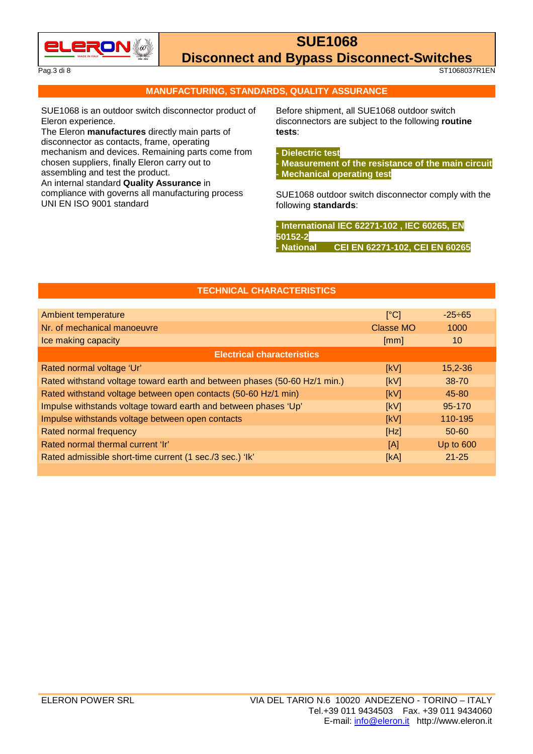

Pag.3 di 8 ST1068037R1EN

### **MANUFACTURING, STANDARDS, QUALITY ASSURANCE**

SUE1068 is an outdoor switch disconnector product of Eleron experience.

The Eleron **manufactures** directly main parts of disconnector as contacts, frame, operating mechanism and devices. Remaining parts come from chosen suppliers, finally Eleron carry out to

assembling and test the product.

An internal standard **Quality Assurance** in compliance with governs all manufacturing process UNI EN ISO 9001 standard

 Before shipment, all SUE1068 outdoor switch disconnectors are subject to the following **routine tests**:

**- Dielectric test** 

**- Measurement of the resistance of the main circuit - Mechanical operating test**

SUE1068 outdoor switch disconnector comply with the following **standards**:

**- International IEC 62271-102 , IEC 60265, EN 50152-2 - National CEI EN 62271-102, CEI EN 60265**

### **TECHNICAL CHARACTERISTICS**

| Ambient temperature                                                       | $\lceil$ °C] | $-25 - 65$  |
|---------------------------------------------------------------------------|--------------|-------------|
| Nr. of mechanical manoeuvre                                               | Classe MO    | 1000        |
|                                                                           |              |             |
| Ice making capacity                                                       | [mm]         | 10          |
| <b>Electrical characteristics</b>                                         |              |             |
| Rated normal voltage 'Ur'                                                 | [kV]         | $15,2-36$   |
| Rated withstand voltage toward earth and between phases (50-60 Hz/1 min.) | [kV]         | 38-70       |
| Rated withstand voltage between open contacts (50-60 Hz/1 min)            | [kV]         | 45-80       |
| Impulse withstands voltage toward earth and between phases 'Up'           | [kV]         | 95-170      |
| Impulse withstands voltage between open contacts                          | [kV]         | 110-195     |
| Rated normal frequency                                                    | [Hz]         | $50 - 60$   |
| Rated normal thermal current 'Ir'                                         | [A]          | Up to $600$ |
| Rated admissible short-time current (1 sec./3 sec.) 'lk'                  | [KA]         | $21 - 25$   |
|                                                                           |              |             |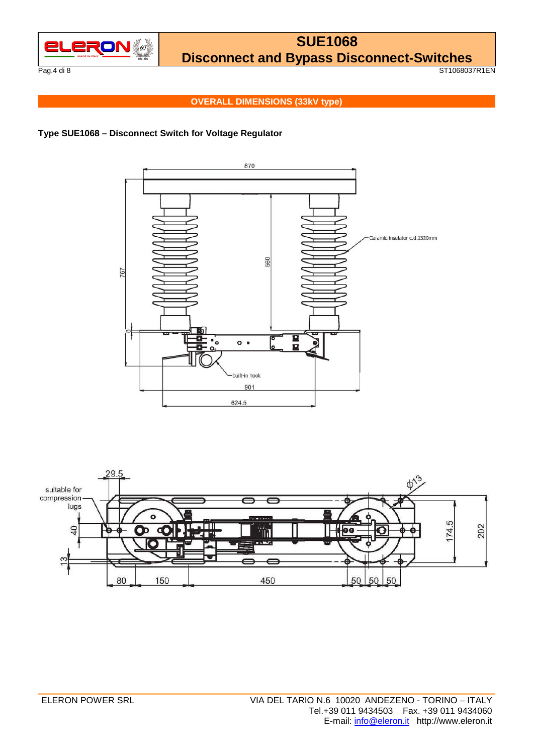

Pag.4 di 8 ST1068037R1EN

### **OVERALL DIMENSIONS (33kV type)**

#### **Type SUE1068 – Disconnect Switch for Voltage Regulator**



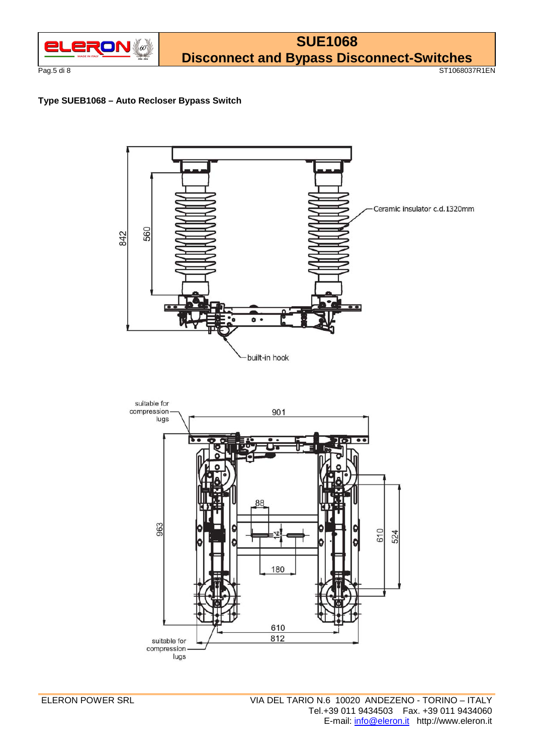

Pag.5 di 8 ST1068037R1EN

#### **Type SUEB1068 – Auto Recloser Bypass Switch**

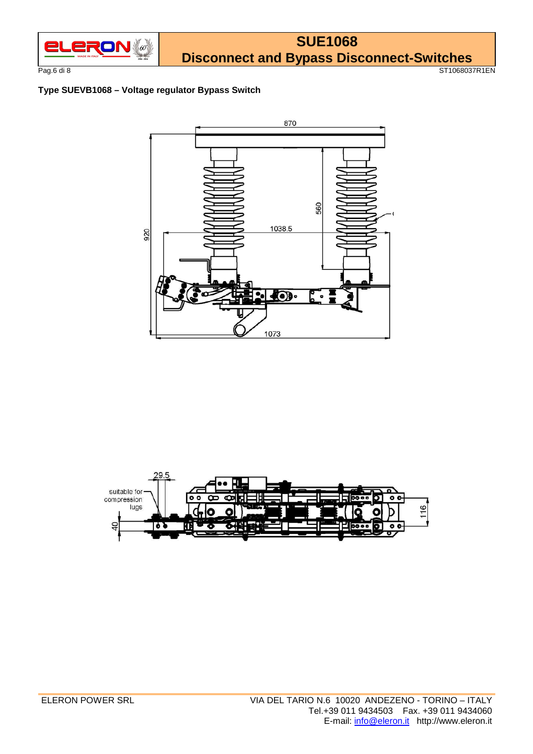

Pag.6 di 8 ST1068037R1EN

## **Type SUEVB1068 – Voltage regulator Bypass Switch**



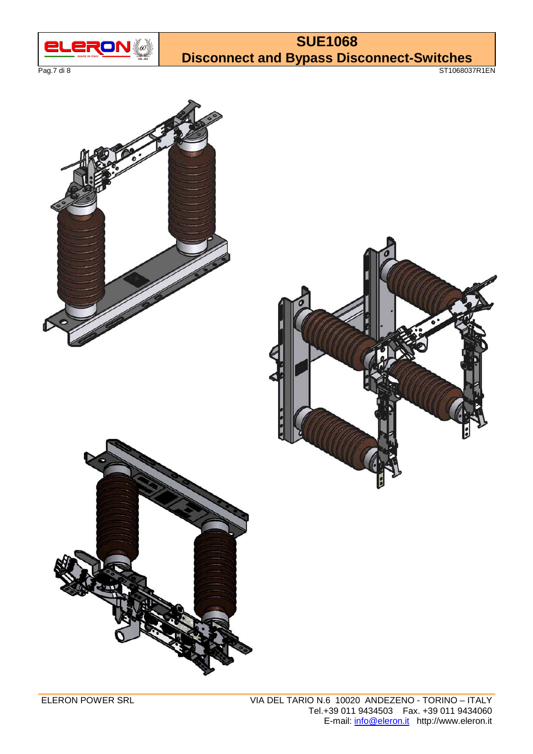

## **SUE1068 Disconnect and Bypass Disconnect-Switches**  Pag.7 di 8 ST1068037R1EN